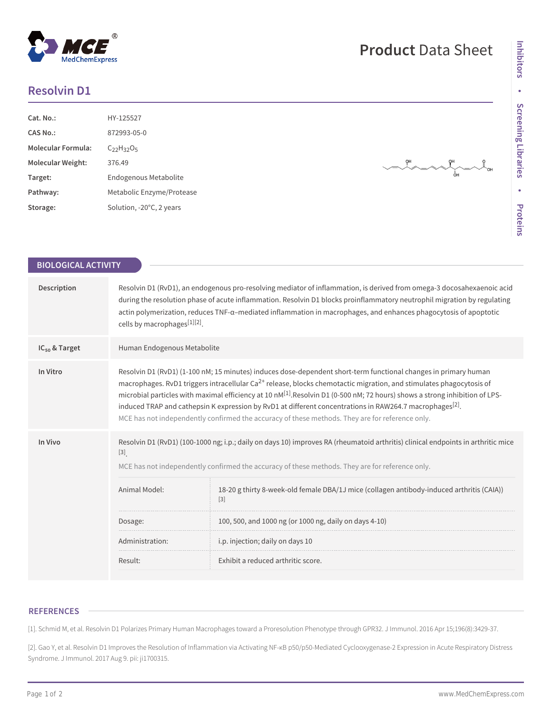## **Resolvin D1**

**MedChemExpress** 

| Cat. No.:                 | HY-125527                          |
|---------------------------|------------------------------------|
| CAS No.:                  | 872993-05-0                        |
| <b>Molecular Formula:</b> | $C_{22}H_{32}O_5$                  |
| <b>Molecular Weight:</b>  | 376.49                             |
| Target:                   | Endogenous Metabolite              |
| Pathway:                  | Metabolic Enzyme/Protease          |
| Storage:                  | Solution, $-20^{\circ}$ C, 2 years |

QН

 $\frac{1}{\sqrt{2}}$ <sub>OH</sub>

| <b>BIOLOGICAL ACTIVITY</b> |                                                                                                                                                                                                                                                                                                                                                                                                                                                                                                                                                                                                                           |                                                                                                                                                                                                                                                                                                                                                                                                                                         |
|----------------------------|---------------------------------------------------------------------------------------------------------------------------------------------------------------------------------------------------------------------------------------------------------------------------------------------------------------------------------------------------------------------------------------------------------------------------------------------------------------------------------------------------------------------------------------------------------------------------------------------------------------------------|-----------------------------------------------------------------------------------------------------------------------------------------------------------------------------------------------------------------------------------------------------------------------------------------------------------------------------------------------------------------------------------------------------------------------------------------|
| Description                | Resolvin D1 (RvD1), an endogenous pro-resolving mediator of inflammation, is derived from omega-3 docosahexaenoic acid<br>during the resolution phase of acute inflammation. Resolvin D1 blocks proinflammatory neutrophil migration by regulating<br>actin polymerization, reduces TNF-a-mediated inflammation in macrophages, and enhances phagocytosis of apoptotic<br>cells by macrophages[1][2].                                                                                                                                                                                                                     |                                                                                                                                                                                                                                                                                                                                                                                                                                         |
| $IC_{50}$ & Target         | Human Endogenous Metabolite                                                                                                                                                                                                                                                                                                                                                                                                                                                                                                                                                                                               |                                                                                                                                                                                                                                                                                                                                                                                                                                         |
| In Vitro                   | Resolvin D1 (RvD1) (1-100 nM; 15 minutes) induces dose-dependent short-term functional changes in primary human<br>macrophages. RvD1 triggers intracellular Ca <sup>2+</sup> release, blocks chemotactic migration, and stimulates phagocytosis of<br>microbial particles with maximal efficiency at 10 nM <sup>[1]</sup> . Resolvin D1 (0-500 nM; 72 hours) shows a strong inhibition of LPS-<br>induced TRAP and cathepsin K expression by RvD1 at different concentrations in RAW264.7 macrophages <sup>[2]</sup> .<br>MCE has not independently confirmed the accuracy of these methods. They are for reference only. |                                                                                                                                                                                                                                                                                                                                                                                                                                         |
| In Vivo                    | $[3]$<br>Animal Model:<br>Dosage:<br>Administration:                                                                                                                                                                                                                                                                                                                                                                                                                                                                                                                                                                      | Resolvin D1 (RvD1) (100-1000 ng; i.p.; daily on days 10) improves RA (rheumatoid arthritis) clinical endpoints in arthritic mice<br>MCE has not independently confirmed the accuracy of these methods. They are for reference only.<br>18-20 g thirty 8-week-old female DBA/1J mice (collagen antibody-induced arthritis (CAIA))<br>$[3]$<br>100, 500, and 1000 ng (or 1000 ng, daily on days 4-10)<br>i.p. injection; daily on days 10 |
|                            | Result:                                                                                                                                                                                                                                                                                                                                                                                                                                                                                                                                                                                                                   | Exhibit a reduced arthritic score.                                                                                                                                                                                                                                                                                                                                                                                                      |

## **REFERENCES**

[1]. Schmid M, et al. Resolvin D1 Polarizes Primary Human Macrophages toward a Proresolution Phenotype through GPR32. J Immunol. 2016 Apr 15;196(8):3429-37.

[2]. Gao Y, et al. Resolvin D1 Improves the Resolution of Inflammation via Activating NF-κB p50/p50-Mediated Cyclooxygenase-2 Expression in Acute Respiratory Distress Syndrome. J Immunol. 2017 Aug 9. pii: ji1700315.